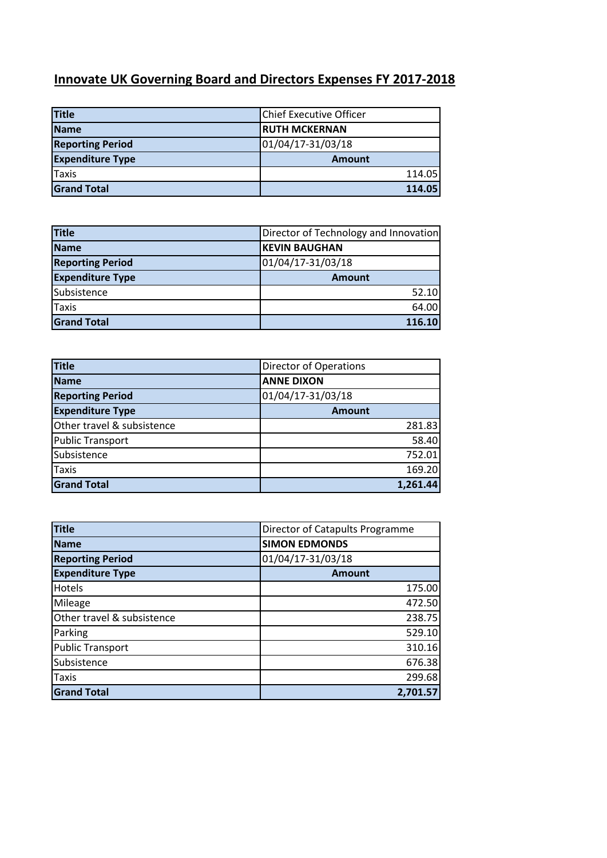## **Innovate UK Governing Board and Directors Expenses FY 2017-2018**

| <b>Title</b>            | <b>Chief Executive Officer</b> |
|-------------------------|--------------------------------|
| <b>Name</b>             | <b>RUTH MCKERNAN</b>           |
| <b>Reporting Period</b> | 01/04/17-31/03/18              |
| <b>Expenditure Type</b> | <b>Amount</b>                  |
| <b>Taxis</b>            | 114.05                         |
| <b>Grand Total</b>      | 114.05                         |

| <b>Title</b>            | Director of Technology and Innovation |
|-------------------------|---------------------------------------|
| <b>Name</b>             | <b>KEVIN BAUGHAN</b>                  |
| <b>Reporting Period</b> | 01/04/17-31/03/18                     |
| <b>Expenditure Type</b> | <b>Amount</b>                         |
| Subsistence             | 52.10                                 |
| <b>Taxis</b>            | 64.00                                 |
| <b>Grand Total</b>      | 116.10                                |

| <b>Title</b>               | <b>Director of Operations</b> |
|----------------------------|-------------------------------|
| Name                       | <b>ANNE DIXON</b>             |
| <b>Reporting Period</b>    | 01/04/17-31/03/18             |
| <b>Expenditure Type</b>    | <b>Amount</b>                 |
| Other travel & subsistence | 281.83                        |
| <b>Public Transport</b>    | 58.40                         |
| Subsistence                | 752.01                        |
| <b>Taxis</b>               | 169.20                        |
| <b>Grand Total</b>         | 1,261.44                      |

| <b>Title</b>               | Director of Catapults Programme |
|----------------------------|---------------------------------|
| <b>Name</b>                | <b>SIMON EDMONDS</b>            |
| <b>Reporting Period</b>    | 01/04/17-31/03/18               |
| <b>Expenditure Type</b>    | <b>Amount</b>                   |
| <b>Hotels</b>              | 175.00                          |
| Mileage                    | 472.50                          |
| Other travel & subsistence | 238.75                          |
| Parking                    | 529.10                          |
| <b>Public Transport</b>    | 310.16                          |
| Subsistence                | 676.38                          |
| <b>Taxis</b>               | 299.68                          |
| <b>Grand Total</b>         | 2,701.57                        |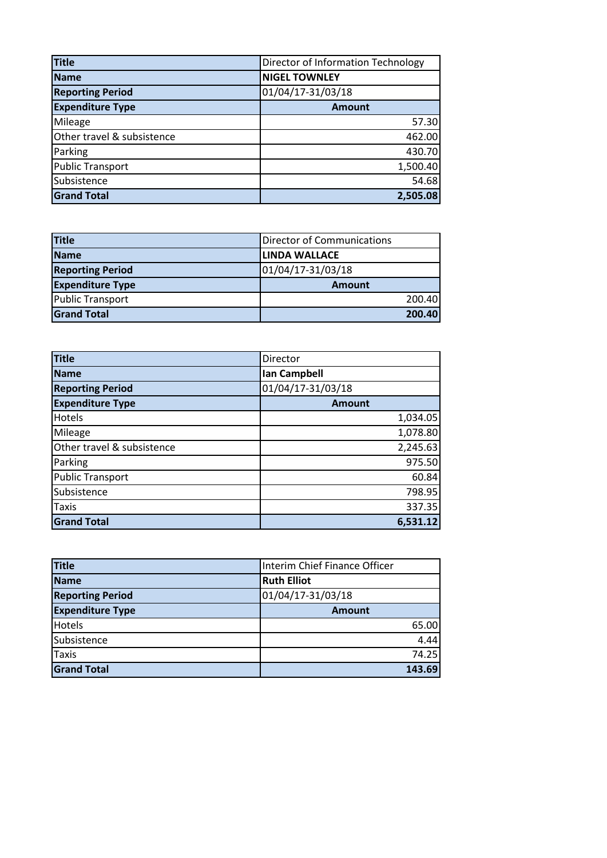| <b>Title</b>               | Director of Information Technology |
|----------------------------|------------------------------------|
| <b>Name</b>                | <b>NIGEL TOWNLEY</b>               |
| <b>Reporting Period</b>    | 01/04/17-31/03/18                  |
| <b>Expenditure Type</b>    | <b>Amount</b>                      |
| Mileage                    | 57.30                              |
| Other travel & subsistence | 462.00                             |
| Parking                    | 430.70                             |
| <b>Public Transport</b>    | 1,500.40                           |
| Subsistence                | 54.68                              |
| <b>Grand Total</b>         | 2,505.08                           |

| <b>Title</b>            | <b>Director of Communications</b> |
|-------------------------|-----------------------------------|
| <b>Name</b>             | LINDA WALLACE                     |
| <b>Reporting Period</b> | 01/04/17-31/03/18                 |
| <b>Expenditure Type</b> | <b>Amount</b>                     |
| <b>Public Transport</b> | 200.40                            |
| <b>Grand Total</b>      | 200.40                            |

| <b>Title</b>               | Director          |
|----------------------------|-------------------|
| <b>Name</b>                | Ian Campbell      |
| <b>Reporting Period</b>    | 01/04/17-31/03/18 |
| <b>Expenditure Type</b>    | <b>Amount</b>     |
| Hotels                     | 1,034.05          |
| Mileage                    | 1,078.80          |
| Other travel & subsistence | 2,245.63          |
| Parking                    | 975.50            |
| <b>Public Transport</b>    | 60.84             |
| Subsistence                | 798.95            |
| <b>Taxis</b>               | 337.35            |
| <b>Grand Total</b>         | 6,531.12          |

| <b>Title</b>            | Interim Chief Finance Officer |
|-------------------------|-------------------------------|
| <b>Name</b>             | <b>Ruth Elliot</b>            |
| <b>Reporting Period</b> | 01/04/17-31/03/18             |
| <b>Expenditure Type</b> | <b>Amount</b>                 |
| Hotels                  | 65.00                         |
| Subsistence             | 4.44                          |
| <b>Taxis</b>            | 74.25                         |
| <b>Grand Total</b>      | 143.69                        |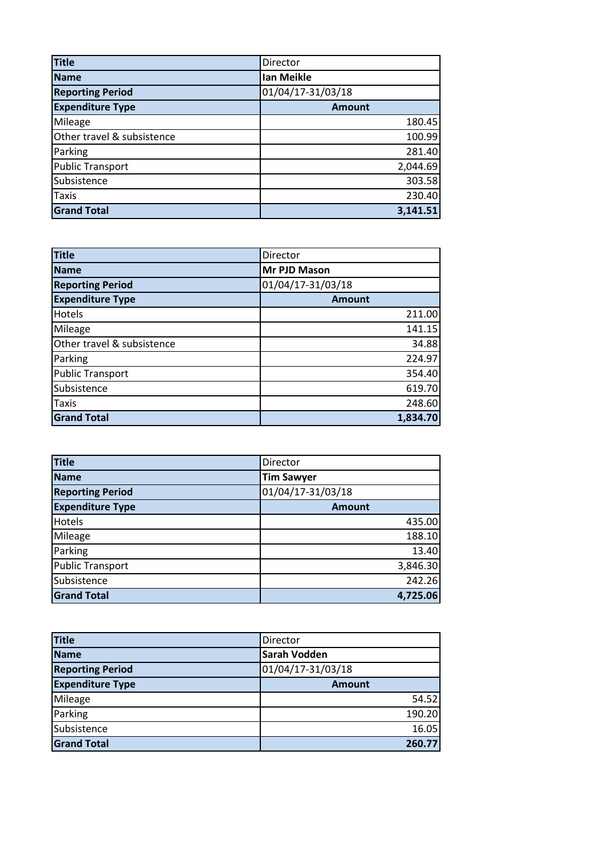| <b>Title</b>               | Director          |
|----------------------------|-------------------|
| <b>Name</b>                | Ian Meikle        |
| <b>Reporting Period</b>    | 01/04/17-31/03/18 |
| <b>Expenditure Type</b>    | <b>Amount</b>     |
| Mileage                    | 180.45            |
| Other travel & subsistence | 100.99            |
| Parking                    | 281.40            |
| <b>Public Transport</b>    | 2,044.69          |
| Subsistence                | 303.58            |
| Taxis                      | 230.40            |
| <b>Grand Total</b>         | 3,141.51          |

| <b>Title</b>               | Director          |
|----------------------------|-------------------|
| <b>Name</b>                | Mr PJD Mason      |
| <b>Reporting Period</b>    | 01/04/17-31/03/18 |
| <b>Expenditure Type</b>    | <b>Amount</b>     |
| Hotels                     | 211.00            |
| Mileage                    | 141.15            |
| Other travel & subsistence | 34.88             |
| Parking                    | 224.97            |
| <b>Public Transport</b>    | 354.40            |
| Subsistence                | 619.70            |
| Taxis                      | 248.60            |
| <b>Grand Total</b>         | 1,834.70          |

| <b>Title</b>            | Director          |
|-------------------------|-------------------|
| <b>Name</b>             | <b>Tim Sawyer</b> |
| <b>Reporting Period</b> | 01/04/17-31/03/18 |
| <b>Expenditure Type</b> | <b>Amount</b>     |
| Hotels                  | 435.00            |
| Mileage                 | 188.10            |
| Parking                 | 13.40             |
| <b>Public Transport</b> | 3,846.30          |
| Subsistence             | 242.26            |
| <b>Grand Total</b>      | 4,725.06          |

| <b>Title</b>            | Director            |
|-------------------------|---------------------|
| <b>Name</b>             | <b>Sarah Vodden</b> |
| <b>Reporting Period</b> | 01/04/17-31/03/18   |
| <b>Expenditure Type</b> | <b>Amount</b>       |
| Mileage                 | 54.52               |
| Parking                 | 190.20              |
| Subsistence             | 16.05               |
| <b>Grand Total</b>      | 260.77              |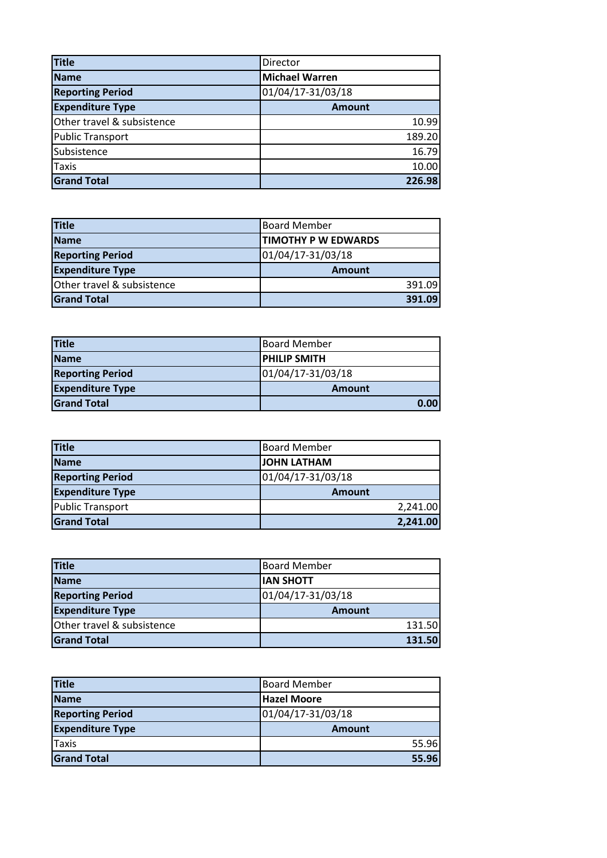| <b>Title</b>               | Director              |
|----------------------------|-----------------------|
| <b>Name</b>                | <b>Michael Warren</b> |
| <b>Reporting Period</b>    | 01/04/17-31/03/18     |
| <b>Expenditure Type</b>    | <b>Amount</b>         |
| Other travel & subsistence | 10.99                 |
| <b>Public Transport</b>    | 189.20                |
| Subsistence                | 16.79                 |
| Taxis                      | 10.00                 |
| <b>Grand Total</b>         | 226.98                |

| <b>Title</b>               | <b>Board Member</b>        |
|----------------------------|----------------------------|
| <b>Name</b>                | <b>TIMOTHY P W EDWARDS</b> |
| <b>Reporting Period</b>    | 01/04/17-31/03/18          |
| <b>Expenditure Type</b>    | <b>Amount</b>              |
| Other travel & subsistence | 391.09                     |
| <b>Grand Total</b>         | 391.09                     |

| <b>Title</b>            | Board Member         |
|-------------------------|----------------------|
| <b>Name</b>             | <b>IPHILIP SMITH</b> |
| <b>Reporting Period</b> | 01/04/17-31/03/18    |
| <b>Expenditure Type</b> | <b>Amount</b>        |
| <b>Grand Total</b>      | 0.00                 |

| <b>Title</b>            | <b>Board Member</b> |
|-------------------------|---------------------|
| <b>Name</b>             | <b>JOHN LATHAM</b>  |
| <b>Reporting Period</b> | 01/04/17-31/03/18   |
| <b>Expenditure Type</b> | <b>Amount</b>       |
| <b>Public Transport</b> | 2,241.00            |
| <b>Grand Total</b>      | 2,241.00            |

| <b>Title</b>               | <b>Board Member</b> |
|----------------------------|---------------------|
| <b>Name</b>                | <b>IAN SHOTT</b>    |
| <b>Reporting Period</b>    | 01/04/17-31/03/18   |
| <b>Expenditure Type</b>    | <b>Amount</b>       |
| Other travel & subsistence | 131.50              |
| <b>Grand Total</b>         | 131.50              |

| <b>Title</b>            | <b>Board Member</b> |
|-------------------------|---------------------|
| <b>Name</b>             | Hazel Moore         |
| <b>Reporting Period</b> | 01/04/17-31/03/18   |
| <b>Expenditure Type</b> | <b>Amount</b>       |
| <b>Taxis</b>            | 55.96               |
| <b>Grand Total</b>      | 55.96               |